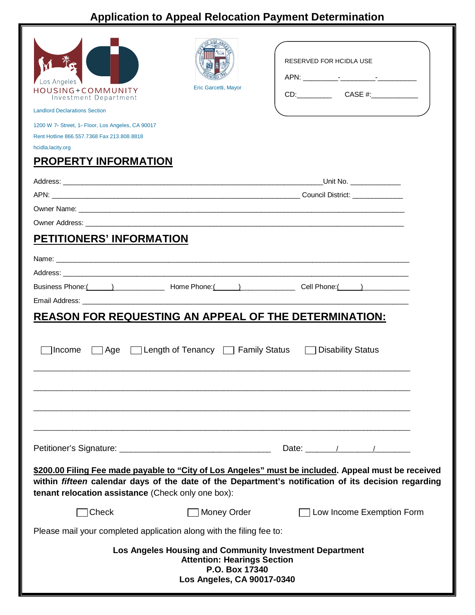## **Application to Appeal Relocation Payment Determination**

| Los Angeles<br>HOUSING+COMMUNITY<br>Investment Department<br><b>Landlord Declarations Section</b> | Eric Garcetti, Mayor                                                               | RESERVED FOR HCIDLA USE                                                                                                                                                                                    |  |  |
|---------------------------------------------------------------------------------------------------|------------------------------------------------------------------------------------|------------------------------------------------------------------------------------------------------------------------------------------------------------------------------------------------------------|--|--|
| 1200 W 7 <sup>th</sup> Street, 1 <sup>st</sup> Floor, Los Angeles, CA 90017                       |                                                                                    |                                                                                                                                                                                                            |  |  |
| Rent Hotline 866, 557, 7368 Fax 213, 808, 8818<br>hcidla.lacity.org                               |                                                                                    |                                                                                                                                                                                                            |  |  |
| <b>PROPERTY INFORMATION</b>                                                                       |                                                                                    |                                                                                                                                                                                                            |  |  |
|                                                                                                   |                                                                                    | _Unit No. _______________                                                                                                                                                                                  |  |  |
|                                                                                                   |                                                                                    |                                                                                                                                                                                                            |  |  |
|                                                                                                   |                                                                                    |                                                                                                                                                                                                            |  |  |
|                                                                                                   |                                                                                    |                                                                                                                                                                                                            |  |  |
| <b>PETITIONERS' INFORMATION</b>                                                                   |                                                                                    |                                                                                                                                                                                                            |  |  |
|                                                                                                   |                                                                                    |                                                                                                                                                                                                            |  |  |
|                                                                                                   |                                                                                    |                                                                                                                                                                                                            |  |  |
| <b>REASON FOR REQUESTING AN APPEAL OF THE DETERMINATION:</b><br>Income                            |                                                                                    | □ Age □ Length of Tenancy □ Family Status □ Disability Status                                                                                                                                              |  |  |
|                                                                                                   |                                                                                    |                                                                                                                                                                                                            |  |  |
| tenant relocation assistance (Check only one box):                                                |                                                                                    | \$200.00 Filing Fee made payable to "City of Los Angeles" must be included. Appeal must be received<br>within fifteen calendar days of the date of the Department's notification of its decision regarding |  |  |
| Check                                                                                             | <b>Money Order</b>                                                                 | Low Income Exemption Form                                                                                                                                                                                  |  |  |
| Please mail your completed application along with the filing fee to:                              |                                                                                    |                                                                                                                                                                                                            |  |  |
|                                                                                                   | <b>Attention: Hearings Section</b><br>P.O. Box 17340<br>Los Angeles, CA 90017-0340 | Los Angeles Housing and Community Investment Department                                                                                                                                                    |  |  |